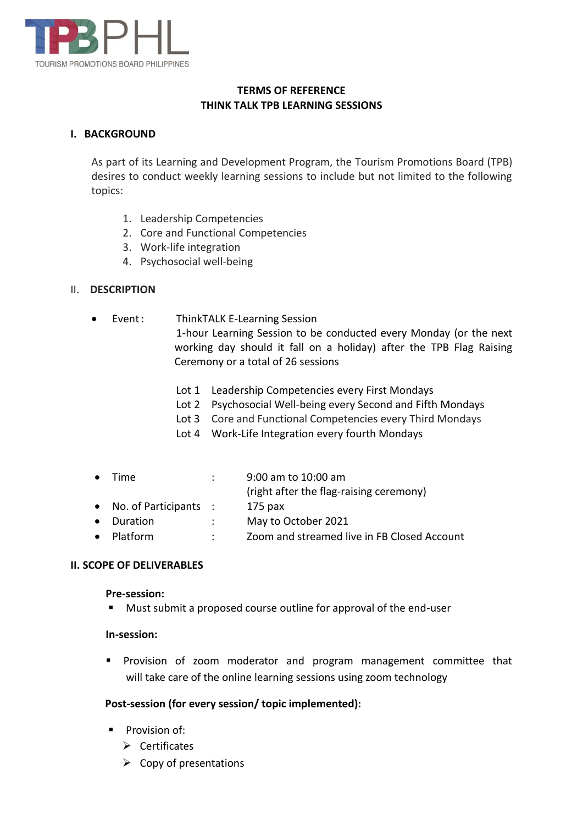

## **TERMS OF REFERENCE THINK TALK TPB LEARNING SESSIONS**

### **I. BACKGROUND**

As part of its Learning and Development Program, the Tourism Promotions Board (TPB) desires to conduct weekly learning sessions to include but not limited to the following topics:

- 1. Leadership Competencies
- 2. Core and Functional Competencies
- 3. Work-life integration
- 4. Psychosocial well-being

### II. **DESCRIPTION**

Event: ThinkTALK E-Learning Session

1-hour Learning Session to be conducted every Monday (or the next working day should it fall on a holiday) after the TPB Flag Raising Ceremony or a total of 26 sessions

- Lot 1 Leadership Competencies every First Mondays
- Lot 2 Psychosocial Well-being every Second and Fifth Mondays
- Lot 3 Core and Functional Competencies every Third Mondays
- Lot 4 Work-Life Integration every fourth Mondays

| $\bullet$ | <b>Time</b>                     |                      | 9:00 am to 10:00 am                         |
|-----------|---------------------------------|----------------------|---------------------------------------------|
|           |                                 |                      | (right after the flag-raising ceremony)     |
|           | $\bullet$ No. of Participants : |                      | $175$ pax                                   |
|           | • Duration                      | $\ddot{\phantom{0}}$ | May to October 2021                         |
|           | $\bullet$ Platform              |                      | Zoom and streamed live in FB Closed Account |

### **II. SCOPE OF DELIVERABLES**

#### **Pre-session:**

Must submit a proposed course outline for approval of the end-user

### **In-session:**

**Provision of zoom moderator and program management committee that** will take care of the online learning sessions using zoom technology

### **Post-session (for every session/ topic implemented):**

- **Provision of:** 
	- $\triangleright$  Certificates
	- $\triangleright$  Copy of presentations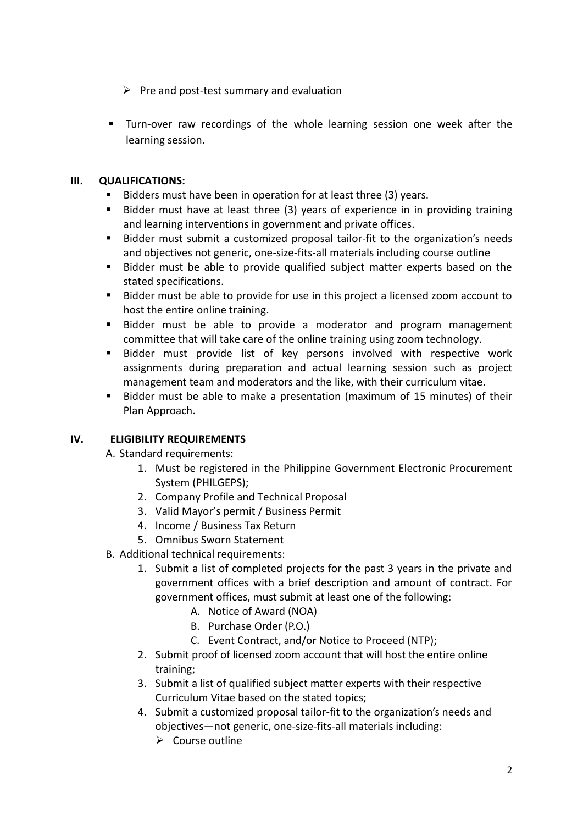- $\triangleright$  Pre and post-test summary and evaluation
- Turn-over raw recordings of the whole learning session one week after the learning session.

## **III. QUALIFICATIONS:**

- $\blacksquare$  Bidders must have been in operation for at least three (3) years.
- Bidder must have at least three (3) years of experience in in providing training and learning interventions in government and private offices.
- Bidder must submit a customized proposal tailor-fit to the organization's needs and objectives not generic, one-size-fits-all materials including course outline
- Bidder must be able to provide qualified subject matter experts based on the stated specifications.
- Bidder must be able to provide for use in this project a licensed zoom account to host the entire online training.
- Bidder must be able to provide a moderator and program management committee that will take care of the online training using zoom technology.
- Bidder must provide list of key persons involved with respective work assignments during preparation and actual learning session such as project management team and moderators and the like, with their curriculum vitae.
- Bidder must be able to make a presentation (maximum of 15 minutes) of their Plan Approach.

# **IV. ELIGIBILITY REQUIREMENTS**

A. Standard requirements:

- 1. Must be registered in the Philippine Government Electronic Procurement System (PHILGEPS);
- 2. Company Profile and Technical Proposal
- 3. Valid Mayor's permit / Business Permit
- 4. Income / Business Tax Return
- 5. Omnibus Sworn Statement
- B. Additional technical requirements:
	- 1. Submit a list of completed projects for the past 3 years in the private and government offices with a brief description and amount of contract. For government offices, must submit at least one of the following:
		- A. Notice of Award (NOA)
		- B. Purchase Order (P.O.)
		- C. Event Contract, and/or Notice to Proceed (NTP);
	- 2. Submit proof of licensed zoom account that will host the entire online training;
	- 3. Submit a list of qualified subject matter experts with their respective Curriculum Vitae based on the stated topics;
	- 4. Submit a customized proposal tailor-fit to the organization's needs and objectives—not generic, one-size-fits-all materials including:
		- $\triangleright$  Course outline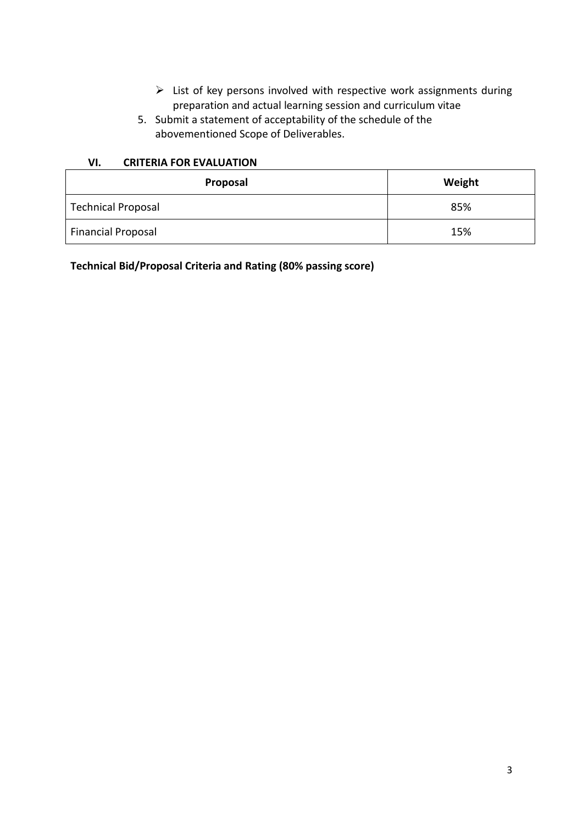- $\triangleright$  List of key persons involved with respective work assignments during preparation and actual learning session and curriculum vitae
- 5. Submit a statement of acceptability of the schedule of the abovementioned Scope of Deliverables.

#### **VI. CRITERIA FOR EVALUATION**

| Proposal           | Weight |
|--------------------|--------|
| Technical Proposal | 85%    |
| Financial Proposal | 15%    |

**Technical Bid/Proposal Criteria and Rating (80% passing score)**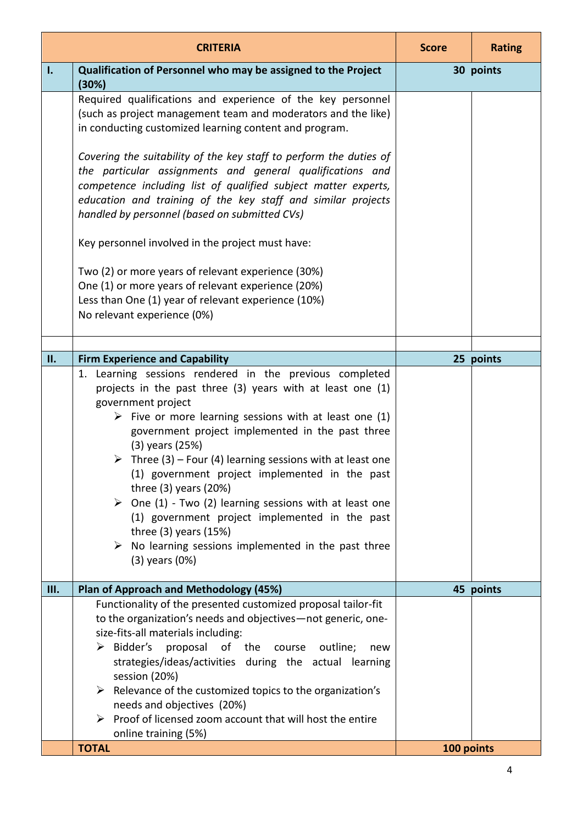|    | <b>CRITERIA</b>                                                                                                                                                                                                                                                                                                                                                                                                                                                                                                                                                                                                                                                                                                   | <b>Score</b> | <b>Rating</b> |
|----|-------------------------------------------------------------------------------------------------------------------------------------------------------------------------------------------------------------------------------------------------------------------------------------------------------------------------------------------------------------------------------------------------------------------------------------------------------------------------------------------------------------------------------------------------------------------------------------------------------------------------------------------------------------------------------------------------------------------|--------------|---------------|
| ı. | Qualification of Personnel who may be assigned to the Project<br>(30%)                                                                                                                                                                                                                                                                                                                                                                                                                                                                                                                                                                                                                                            | 30 points    |               |
|    | Required qualifications and experience of the key personnel<br>(such as project management team and moderators and the like)<br>in conducting customized learning content and program.<br>Covering the suitability of the key staff to perform the duties of<br>the particular assignments and general qualifications and<br>competence including list of qualified subject matter experts,<br>education and training of the key staff and similar projects<br>handled by personnel (based on submitted CVs)<br>Key personnel involved in the project must have:                                                                                                                                                  |              |               |
|    | Two (2) or more years of relevant experience (30%)<br>One (1) or more years of relevant experience (20%)<br>Less than One (1) year of relevant experience (10%)<br>No relevant experience (0%)                                                                                                                                                                                                                                                                                                                                                                                                                                                                                                                    |              |               |
| П. | <b>Firm Experience and Capability</b>                                                                                                                                                                                                                                                                                                                                                                                                                                                                                                                                                                                                                                                                             |              | 25 points     |
|    | 1. Learning sessions rendered in the previous completed<br>projects in the past three (3) years with at least one (1)<br>government project<br>$\triangleright$ Five or more learning sessions with at least one (1)<br>government project implemented in the past three<br>$(3)$ years $(25%)$<br>$\triangleright$ Three (3) – Four (4) learning sessions with at least one<br>(1) government project implemented in the past<br>three $(3)$ years $(20%)$<br>$\triangleright$ One (1) - Two (2) learning sessions with at least one<br>(1) government project implemented in the past<br>three $(3)$ years $(15%)$<br>$\triangleright$ No learning sessions implemented in the past three<br>$(3)$ years $(0%)$ |              |               |
| Ш. | Plan of Approach and Methodology (45%)                                                                                                                                                                                                                                                                                                                                                                                                                                                                                                                                                                                                                                                                            |              | 45 points     |
|    | Functionality of the presented customized proposal tailor-fit<br>to the organization's needs and objectives-not generic, one-<br>size-fits-all materials including:<br>$\triangleright$ Bidder's<br>proposal<br>of the course<br>outline;<br>new<br>strategies/ideas/activities during the actual learning<br>session (20%)<br>Relevance of the customized topics to the organization's<br>➤<br>needs and objectives (20%)<br>Proof of licensed zoom account that will host the entire<br>➤                                                                                                                                                                                                                       |              |               |
|    | online training (5%)<br><b>TOTAL</b>                                                                                                                                                                                                                                                                                                                                                                                                                                                                                                                                                                                                                                                                              | 100 points   |               |
|    |                                                                                                                                                                                                                                                                                                                                                                                                                                                                                                                                                                                                                                                                                                                   |              |               |